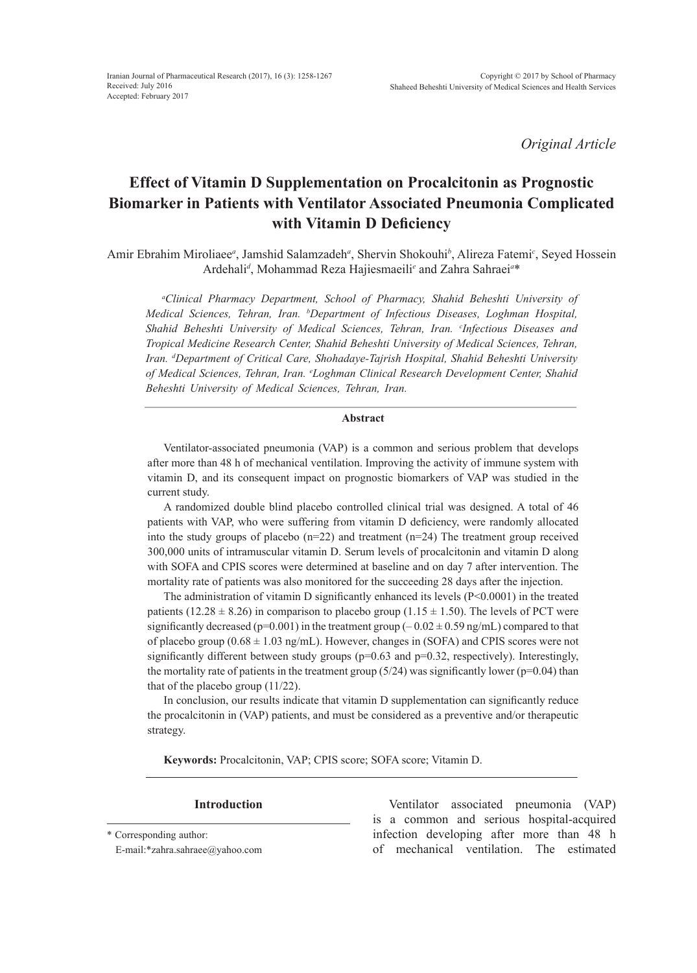*Original Article*

# **Effect of Vitamin D Supplementation on Procalcitonin as Prognostic Biomarker in Patients with Ventilator Associated Pneumonia Complicated with Vitamin D Deficiency**

Amir Ebrahim Miroliaee<sup>a</sup>, Jamshid Salamzadeh<sup>a</sup>, Shervin Shokouhi<sup>b</sup>, Alireza Fatemi<sup>c</sup>, Seyed Hossein Ardehali*<sup>d</sup>* , Mohammad Reza Hajiesmaeili*<sup>e</sup>* and Zahra Sahraei*<sup>a</sup>* \*

*a Clinical Pharmacy Department, School of Pharmacy, Shahid Beheshti University of Medical Sciences, Tehran, Iran. b Department of Infectious Diseases, Loghman Hospital, Shahid Beheshti University of Medical Sciences, Tehran, Iran. c Infectious Diseases and Tropical Medicine Research Center, Shahid Beheshti University of Medical Sciences, Tehran, Iran. d Department of Critical Care, Shohadaye-Tajrish Hospital, Shahid Beheshti University of Medical Sciences, Tehran, Iran. e Loghman Clinical Research Development Center, Shahid Beheshti University of Medical Sciences, Tehran, Iran.*

#### **Abstract**

Ventilator-associated pneumonia (VAP) is a common and serious problem that develops after more than 48 h of mechanical ventilation. Improving the activity of immune system with vitamin D, and its consequent impact on prognostic biomarkers of VAP was studied in the current study.

A randomized double blind placebo controlled clinical trial was designed. A total of 46 patients with VAP, who were suffering from vitamin D deficiency, were randomly allocated into the study groups of placebo  $(n=22)$  and treatment  $(n=24)$  The treatment group received 300,000 units of intramuscular vitamin D. Serum levels of procalcitonin and vitamin D along with SOFA and CPIS scores were determined at baseline and on day 7 after intervention. The mortality rate of patients was also monitored for the succeeding 28 days after the injection.

The administration of vitamin D significantly enhanced its levels  $(P< 0.0001)$  in the treated patients (12.28  $\pm$  8.26) in comparison to placebo group (1.15  $\pm$  1.50). The levels of PCT were significantly decreased ( $p=0.001$ ) in the treatment group ( $-0.02 \pm 0.59$  ng/mL) compared to that of placebo group  $(0.68 \pm 1.03 \text{ ng/mL})$ . However, changes in (SOFA) and CPIS scores were not significantly different between study groups ( $p=0.63$  and  $p=0.32$ , respectively). Interestingly, the mortality rate of patients in the treatment group  $(5/24)$  was significantly lower (p=0.04) than that of the placebo group (11/22).

In conclusion, our results indicate that vitamin D supplementation can significantly reduce the procalcitonin in (VAP) patients, and must be considered as a preventive and/or therapeutic strategy.

**Keywords:** Procalcitonin, VAP; CPIS score; SOFA score; Vitamin D.

E-mail:\*zahra.sahraee@yahoo.com

**Introduction** Ventilator associated pneumonia (VAP) is a common and serious hospital-acquired infection developing after more than 48 h of mechanical ventilation. The estimated

<sup>\*</sup> Corresponding author: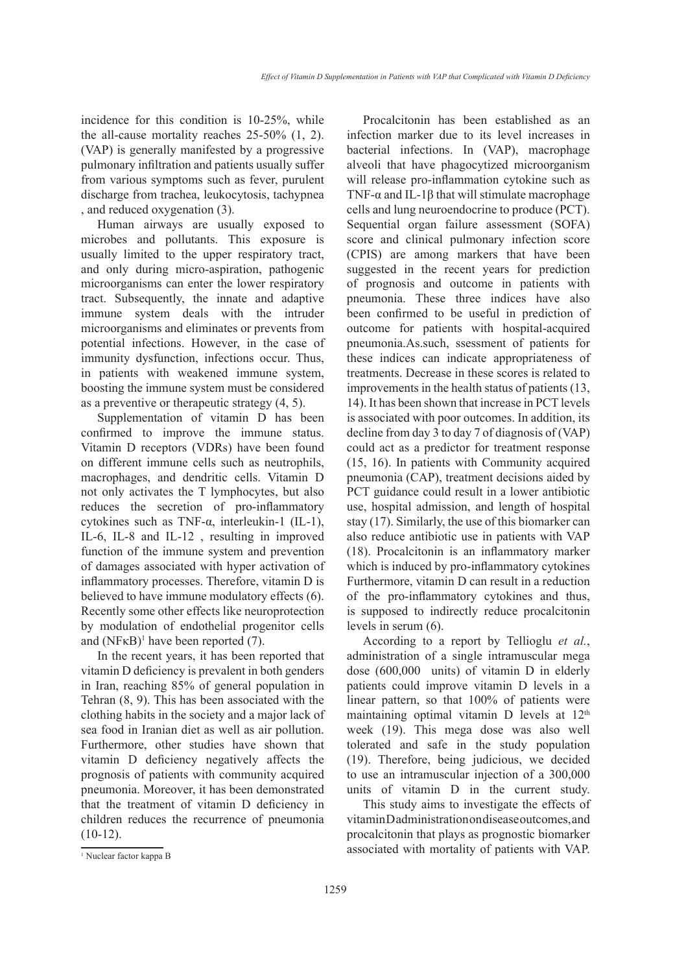incidence for this condition is 10-25%, while the all-cause mortality reaches 25-50% (1, 2). (VAP) is generally manifested by a progressive pulmonary infiltration and patients usually suffer from various symptoms such as fever, purulent discharge from trachea, leukocytosis, tachypnea , and reduced oxygenation (3).

Human airways are usually exposed to microbes and pollutants. This exposure is usually limited to the upper respiratory tract, and only during micro-aspiration, pathogenic microorganisms can enter the lower respiratory tract. Subsequently, the innate and adaptive immune system deals with the intruder microorganisms and eliminates or prevents from potential infections. However, in the case of immunity dysfunction, infections occur. Thus, in patients with weakened immune system, boosting the immune system must be considered as a preventive or therapeutic strategy (4, 5).

Supplementation of vitamin D has been confirmed to improve the immune status. Vitamin D receptors (VDRs) have been found on different immune cells such as neutrophils, macrophages, and dendritic cells. Vitamin D not only activates the T lymphocytes, but also reduces the secretion of pro-inflammatory cytokines such as TNF-α, interleukin-1 (IL-1), IL-6, IL-8 and IL-12 , resulting in improved function of the immune system and prevention of damages associated with hyper activation of inflammatory processes. Therefore, vitamin D is believed to have immune modulatory effects (6). Recently some other effects like neuroprotection by modulation of endothelial progenitor cells and  $(NF<sub>K</sub>B)<sup>1</sup>$  have been reported (7).

In the recent years, it has been reported that vitamin D deficiency is prevalent in both genders in Iran, reaching 85% of general population in Tehran (8, 9). This has been associated with the clothing habits in the society and a major lack of sea food in Iranian diet as well as air pollution. Furthermore, other studies have shown that vitamin D deficiency negatively affects the prognosis of patients with community acquired pneumonia. Moreover, it has been demonstrated that the treatment of vitamin D deficiency in children reduces the recurrence of pneumonia  $(10-12)$ .

Procalcitonin has been established as an infection marker due to its level increases in bacterial infections. In (VAP), macrophage alveoli that have phagocytized microorganism will release pro-inflammation cytokine such as TNF- $\alpha$  and IL-1 $\beta$  that will stimulate macrophage cells and lung neuroendocrine to produce (PCT). Sequential organ failure assessment (SOFA) score and clinical pulmonary infection score (CPIS) are among markers that have been suggested in the recent years for prediction of prognosis and outcome in patients with pneumonia. These three indices have also been confirmed to be useful in prediction of outcome for patients with hospital-acquired pneumonia.As.such, ssessment of patients for these indices can indicate appropriateness of treatments. Decrease in these scores is related to improvements in the health status of patients (13, 14). It has been shown that increase in PCT levels is associated with poor outcomes. In addition, its decline from day 3 to day 7 of diagnosis of (VAP) could act as a predictor for treatment response (15, 16). In patients with Community acquired pneumonia (CAP), treatment decisions aided by PCT guidance could result in a lower antibiotic use, hospital admission, and length of hospital stay (17). Similarly, the use of this biomarker can also reduce antibiotic use in patients with VAP (18). Procalcitonin is an inflammatory marker which is induced by pro-inflammatory cytokines Furthermore, vitamin D can result in a reduction of the pro-inflammatory cytokines and thus, is supposed to indirectly reduce procalcitonin levels in serum (6).

According to a report by Tellioglu *et al.*, administration of a single intramuscular mega dose (600,000 units) of vitamin D in elderly patients could improve vitamin D levels in a linear pattern, so that 100% of patients were maintaining optimal vitamin D levels at 12<sup>th</sup> week (19). This mega dose was also well tolerated and safe in the study population (19). Therefore, being judicious, we decided to use an intramuscular injection of a 300,000 units of vitamin D in the current study.

This study aims to investigate the effects of vitamin D administration on disease outcomes, and procalcitonin that plays as prognostic biomarker associated with mortality of patients with VAP.

<sup>1</sup> Nuclear factor kappa B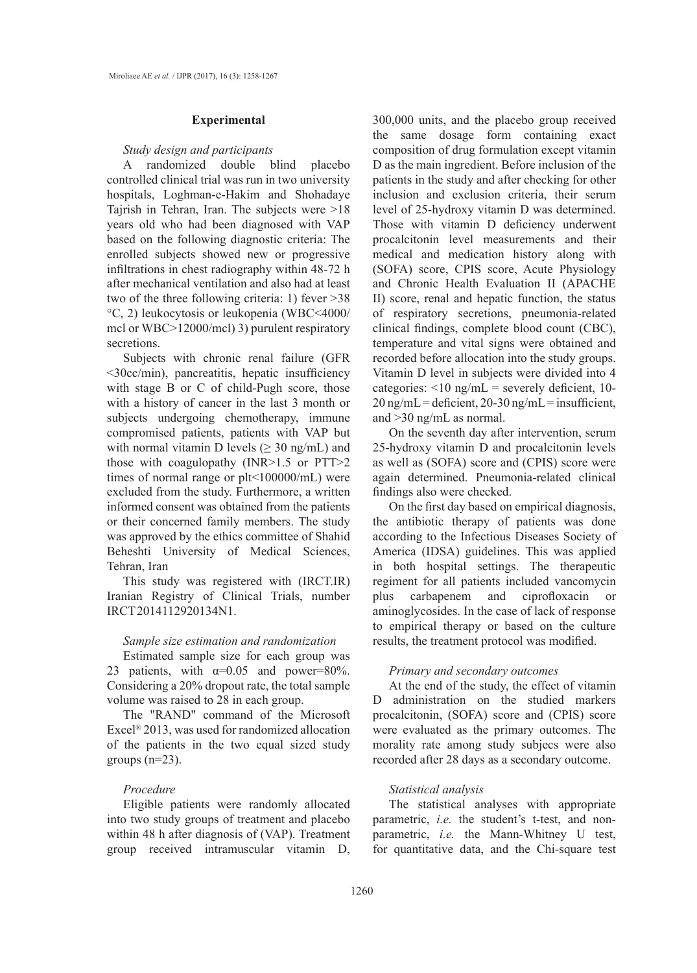#### **Experimental**

#### *Study design and participants*

A randomized double blind placebo controlled clinical trial was run in two university hospitals, Loghman-e-Hakim and Shohadaye Tajrish in Tehran, Iran. The subjects were >18 years old who had been diagnosed with VAP based on the following diagnostic criteria: The enrolled subjects showed new or progressive infiltrations in chest radiography within 48-72 h after mechanical ventilation and also had at least two of the three following criteria: 1) fever >38 °C, 2) leukocytosis or leukopenia (WBC<4000/ mcl or WBC>12000/mcl) 3) purulent respiratory secretions.

Subjects with chronic renal failure (GFR <30cc/min), pancreatitis, hepatic insufficiency with stage B or C of child-Pugh score, those with a history of cancer in the last 3 month or subjects undergoing chemotherapy, immune compromised patients, patients with VAP but with normal vitamin D levels ( $\geq$  30 ng/mL) and those with coagulopathy (INR>1.5 or PTT>2 times of normal range or plt<100000/mL) were excluded from the study. Furthermore, a written informed consent was obtained from the patients or their concerned family members. The study was approved by the ethics committee of Shahid Beheshti University of Medical Sciences, Tehran, Iran

This study was registered with (IRCT.IR) Iranian Registry of Clinical Trials, number IRCT2014112920134N1.

# *Sample size estimation and randomization*

Estimated sample size for each group was 23 patients, with  $\alpha=0.05$  and power=80%. Considering a 20% dropout rate, the total sample volume was raised to 28 in each group.

The "RAND" command of the Microsoft Excel® 2013, was used for randomized allocation of the patients in the two equal sized study groups  $(n=23)$ .

# *Procedure*

Eligible patients were randomly allocated into two study groups of treatment and placebo within 48 h after diagnosis of (VAP). Treatment group received intramuscular vitamin D, 300,000 units, and the placebo group received the same dosage form containing exact composition of drug formulation except vitamin D as the main ingredient. Before inclusion of the patients in the study and after checking for other inclusion and exclusion criteria, their serum level of 25-hydroxy vitamin D was determined. Those with vitamin D deficiency underwent procalcitonin level measurements and their medical and medication history along with (SOFA) score, CPIS score, Acute Physiology and Chronic Health Evaluation II (APACHE II) score, renal and hepatic function, the status of respiratory secretions, pneumonia-related clinical findings, complete blood count (CBC), temperature and vital signs were obtained and recorded before allocation into the study groups. Vitamin D level in subjects were divided into 4 categories:  $\leq 10$  ng/mL = severely deficient, 10- $20$  ng/mL = deficient,  $20-30$  ng/mL = insufficient, and >30 ng/mL as normal.

On the seventh day after intervention, serum 25-hydroxy vitamin D and procalcitonin levels as well as (SOFA) score and (CPIS) score were again determined. Pneumonia-related clinical findings also were checked.

On the first day based on empirical diagnosis, the antibiotic therapy of patients was done according to the Infectious Diseases Society of America (IDSA) guidelines. This was applied in both hospital settings. The therapeutic regiment for all patients included vancomycin plus carbapenem and ciprofloxacin aminoglycosides. In the case of lack of response to empirical therapy or based on the culture results, the treatment protocol was modified.

#### *Primary and secondary outcomes*

At the end of the study, the effect of vitamin D administration on the studied markers procalcitonin, (SOFA) score and (CPIS) score were evaluated as the primary outcomes. The morality rate among study subjecs were also recorded after 28 days as a secondary outcome.

## *Statistical analysis*

The statistical analyses with appropriate parametric, *i.e.* the student's t-test, and nonparametric, *i.e.* the Mann-Whitney U test, for quantitative data, and the Chi-square test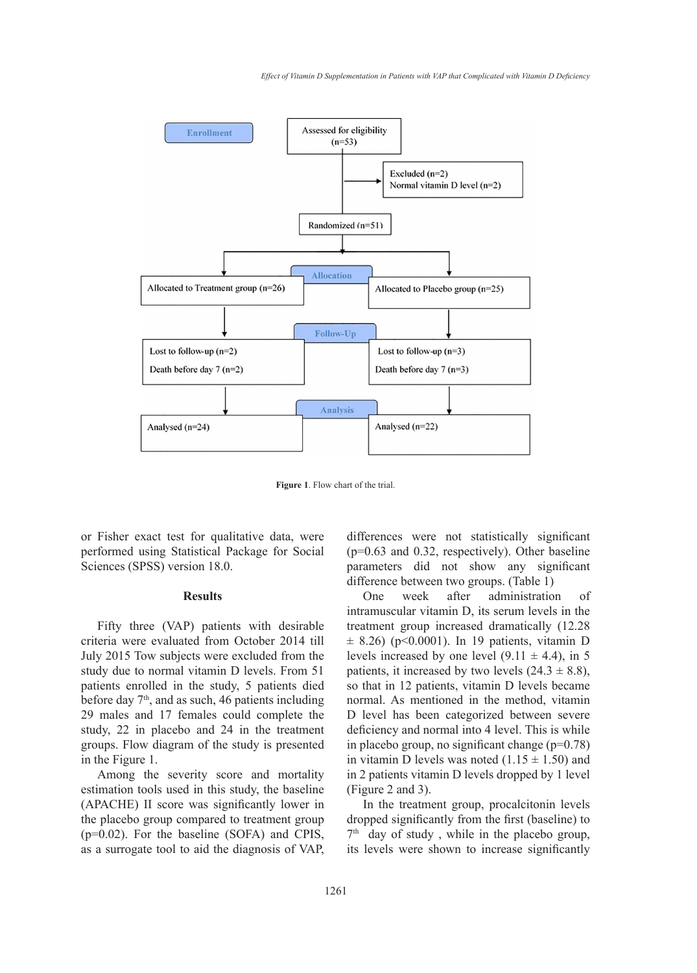

**Figure 1**. Flow chart of the trial.

or Fisher exact test for qualitative data, were performed using Statistical Package for Social Sciences (SPSS) version 18.0.

### **Results**

Fifty three (VAP) patients with desirable criteria were evaluated from October 2014 till July 2015 Tow subjects were excluded from the study due to normal vitamin D levels. From 51 patients enrolled in the study, 5 patients died before day  $7<sup>th</sup>$ , and as such, 46 patients including 29 males and 17 females could complete the study, 22 in placebo and 24 in the treatment groups. Flow diagram of the study is presented in the Figure 1.

Among the severity score and mortality estimation tools used in this study, the baseline (APACHE) II score was significantly lower in the placebo group compared to treatment group (p=0.02). For the baseline (SOFA) and CPIS, as a surrogate tool to aid the diagnosis of VAP,

differences were not statistically significant (p=0.63 and 0.32, respectively). Other baseline parameters did not show any significant difference between two groups. (Table 1)

One week after administration of intramuscular vitamin D, its serum levels in the treatment group increased dramatically (12.28  $\pm$  8.26) (p<0.0001). In 19 patients, vitamin D levels increased by one level  $(9.11 \pm 4.4)$ , in 5 patients, it increased by two levels  $(24.3 \pm 8.8)$ , so that in 12 patients, vitamin D levels became normal. As mentioned in the method, vitamin D level has been categorized between severe deficiency and normal into 4 level. This is while in placebo group, no significant change  $(p=0.78)$ in vitamin D levels was noted  $(1.15 \pm 1.50)$  and in 2 patients vitamin D levels dropped by 1 level (Figure 2 and 3).

In the treatment group, procalcitonin levels dropped significantly from the first (baseline) to  $7<sup>th</sup>$  day of study, while in the placebo group, its levels were shown to increase significantly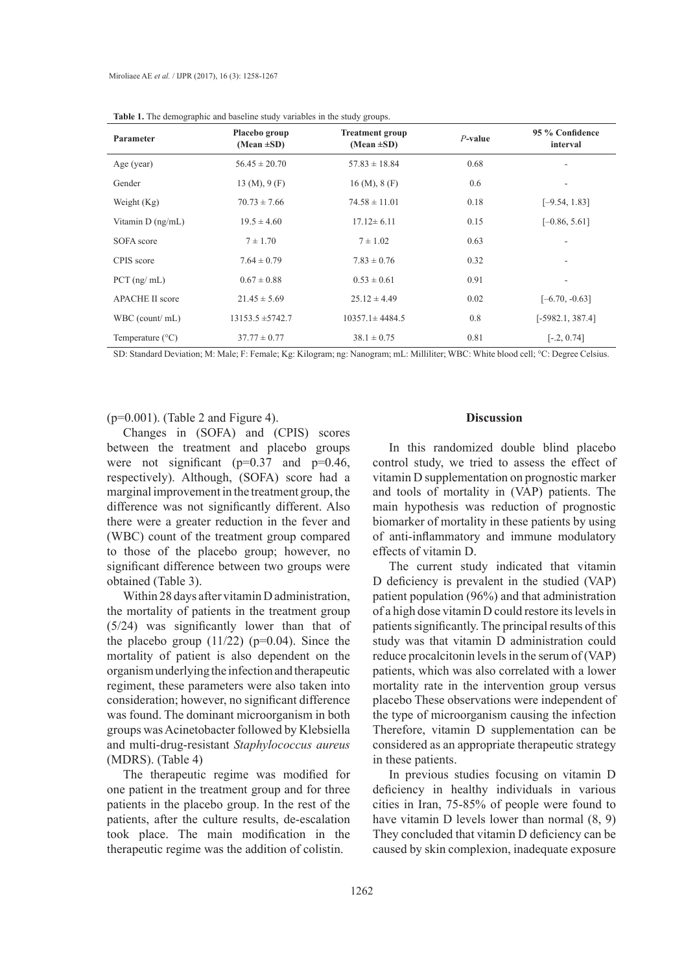| Parameter                 | Placebo group<br>(Mean $\pm SD$ )  | <b>Treatment group</b><br>(Mean $\pm SD$ ) | $P$ -value | 95 % Confidence<br>interval |
|---------------------------|------------------------------------|--------------------------------------------|------------|-----------------------------|
| Age (year)                | $56.45 \pm 20.70$                  | $57.83 \pm 18.84$                          | 0.68       |                             |
| Gender                    | $13 \text{ (M)}$ , $9 \text{ (F)}$ | $16 \,(M), 8 \,(F)$                        | 0.6        | ۰                           |
| Weight $(Kg)$             | $70.73 \pm 7.66$                   | $74.58 \pm 11.01$                          | 0.18       | $[-9.54, 1.83]$             |
| Vitamin $D$ (ng/mL)       | $19.5 \pm 4.60$                    | $17.12 \pm 6.11$                           | 0.15       | $[-0.86, 5.61]$             |
| SOFA score                | $7 \pm 1.70$                       | $7 \pm 1.02$                               | 0.63       |                             |
| CPIS score                | $7.64 \pm 0.79$                    | $7.83 \pm 0.76$                            | 0.32       |                             |
| $PCT$ (ng/ mL)            | $0.67 \pm 0.88$                    | $0.53 \pm 0.61$                            | 0.91       |                             |
| <b>APACHE II score</b>    | $21.45 \pm 5.69$                   | $25.12 \pm 4.49$                           | 0.02       | $[-6.70, -0.63]$            |
| WBC (count/mL)            | $13153.5 \pm 5742.7$               | $10357.1 \pm 4484.5$                       | 0.8        | $[-5982.1, 387.4]$          |
| Temperature $(^{\circ}C)$ | $37.77 \pm 0.77$                   | $38.1 \pm 0.75$                            | 0.81       | $[-.2, 0.74]$               |

**Table 1.** The demographic and baseline study variables in the study groups.

SD: Standard Deviation; M: Male; F: Female; Kg: Kilogram; ng: Nanogram; mL: Milliliter; WBC: White blood cell; °C: Degree Celsius.

 $(p=0.001)$ . (Table 2 and Figure 4).

Changes in (SOFA) and (CPIS) scores between the treatment and placebo groups were not significant ( $p=0.37$  and  $p=0.46$ , respectively). Although, (SOFA) score had a marginal improvement in the treatment group, the difference was not significantly different. Also there were a greater reduction in the fever and (WBC) count of the treatment group compared to those of the placebo group; however, no significant difference between two groups were obtained (Table 3).

Within 28 days after vitamin D administration, the mortality of patients in the treatment group (5/24) was significantly lower than that of the placebo group  $(11/22)$  (p=0.04). Since the mortality of patient is also dependent on the organism underlying the infection and therapeutic regiment, these parameters were also taken into consideration; however, no significant difference was found. The dominant microorganism in both groups was Acinetobacter followed by Klebsiella and multi-drug-resistant *Staphylococcus aureus* (MDRS). (Table 4)

The therapeutic regime was modified for one patient in the treatment group and for three patients in the placebo group. In the rest of the patients, after the culture results, de-escalation took place. The main modification in the therapeutic regime was the addition of colistin.

#### **Discussion**

In this randomized double blind placebo control study, we tried to assess the effect of vitamin D supplementation on prognostic marker and tools of mortality in (VAP) patients. The main hypothesis was reduction of prognostic biomarker of mortality in these patients by using of anti-inflammatory and immune modulatory effects of vitamin D.

The current study indicated that vitamin D deficiency is prevalent in the studied (VAP) patient population (96%) and that administration of a high dose vitamin D could restore its levels in patients significantly. The principal results of this study was that vitamin D administration could reduce procalcitonin levels in the serum of (VAP) patients, which was also correlated with a lower mortality rate in the intervention group versus placebo These observations were independent of the type of microorganism causing the infection Therefore, vitamin D supplementation can be considered as an appropriate therapeutic strategy in these patients.

In previous studies focusing on vitamin D deficiency in healthy individuals in various cities in Iran, 75-85% of people were found to have vitamin D levels lower than normal (8, 9) They concluded that vitamin D deficiency can be caused by skin complexion, inadequate exposure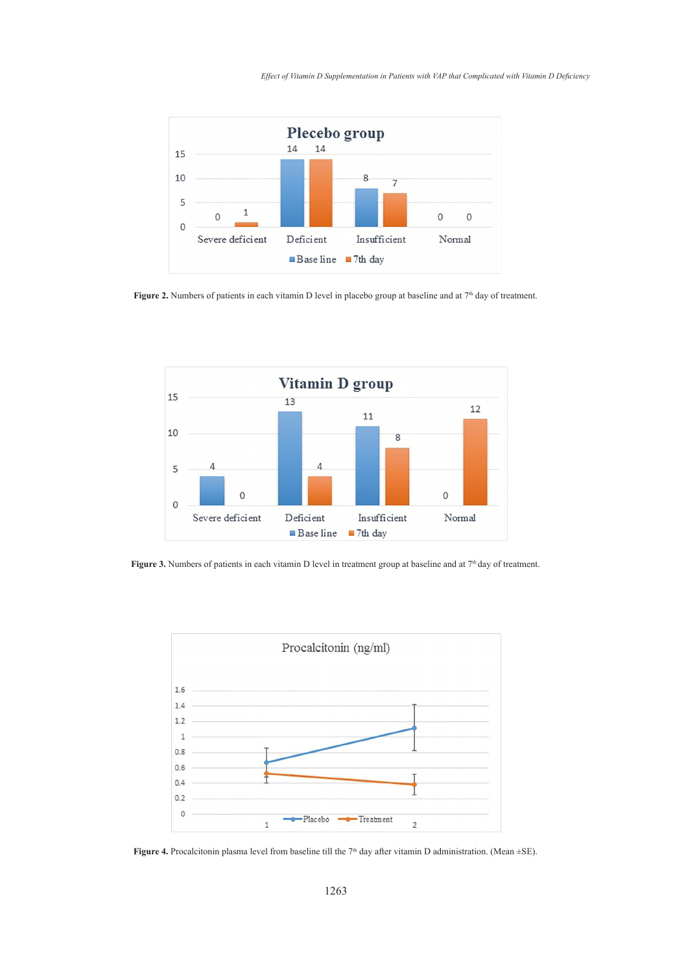

**Figure 2.** Numbers of patients in each vitamin D level in placebo group at baseline and at  $7<sup>th</sup>$  day of treatment. Figure 2. Nu



Figure 3. Numbers of patients in each vitamin D level in treatment group at baseline and at  $7<sup>th</sup>$  day of treatment. day of treatment.



**Figure 4.** Procalcitonin plasma level from baseline till the  $7<sup>th</sup>$  day after vitamin D administration. (Mean  $\pm$ SE).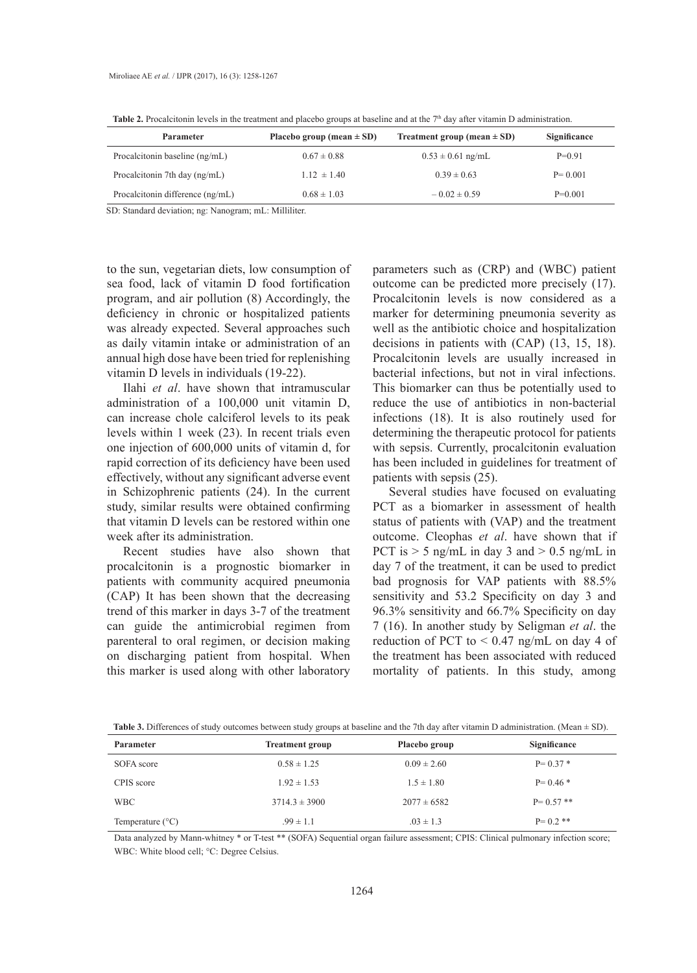| <b>Parameter</b>                 | Placebo group (mean $\pm$ SD) | Treatment group (mean $\pm$ SD) | Significance |
|----------------------------------|-------------------------------|---------------------------------|--------------|
| Procalcitonin baseline (ng/mL)   | $0.67 \pm 0.88$               | $0.53 \pm 0.61$ ng/mL           | $P=0.91$     |
| Procalcitonin 7th day (ng/mL)    | $1.12 \pm 1.40$               | $0.39 \pm 0.63$                 | $P = 0.001$  |
| Procalcitonin difference (ng/mL) | $0.68 \pm 1.03$               | $-0.02 \pm 0.59$                | $P=0.001$    |

**Table 2.** Procalcitonin levels in the treatment and placebo groups at baseline and at the  $7<sup>th</sup>$  day after vitamin D administration.

SD: Standard deviation; ng: Nanogram; mL: Milliliter.

to the sun, vegetarian diets, low consumption of sea food, lack of vitamin D food fortification program, and air pollution (8) Accordingly, the deficiency in chronic or hospitalized patients was already expected. Several approaches such as daily vitamin intake or administration of an annual high dose have been tried for replenishing vitamin D levels in individuals (19-22).

Ilahi *et al*. have shown that intramuscular administration of a 100,000 unit vitamin D, can increase chole calciferol levels to its peak levels within 1 week (23). In recent trials even one injection of 600,000 units of vitamin d, for rapid correction of its deficiency have been used effectively, without any significant adverse event in Schizophrenic patients (24). In the current study, similar results were obtained confirming that vitamin D levels can be restored within one week after its administration.

Recent studies have also shown that procalcitonin is a prognostic biomarker in patients with community acquired pneumonia (CAP) It has been shown that the decreasing trend of this marker in days 3-7 of the treatment can guide the antimicrobial regimen from parenteral to oral regimen, or decision making on discharging patient from hospital. When this marker is used along with other laboratory

parameters such as (CRP) and (WBC) patient outcome can be predicted more precisely (17). Procalcitonin levels is now considered as a marker for determining pneumonia severity as well as the antibiotic choice and hospitalization decisions in patients with (CAP) (13, 15, 18). Procalcitonin levels are usually increased in bacterial infections, but not in viral infections. This biomarker can thus be potentially used to reduce the use of antibiotics in non-bacterial infections (18). It is also routinely used for determining the therapeutic protocol for patients with sepsis. Currently, procalcitonin evaluation has been included in guidelines for treatment of patients with sepsis (25).

Several studies have focused on evaluating PCT as a biomarker in assessment of health status of patients with (VAP) and the treatment outcome. Cleophas *et al*. have shown that if PCT is  $> 5$  ng/mL in day 3 and  $> 0.5$  ng/mL in day 7 of the treatment, it can be used to predict bad prognosis for VAP patients with 88.5% sensitivity and 53.2 Specificity on day 3 and 96.3% sensitivity and 66.7% Specificity on day 7 (16). In another study by Seligman *et al*. the reduction of PCT to  $\leq$  0.47 ng/mL on day 4 of the treatment has been associated with reduced mortality of patients. In this study, among

|  | <b>Table 3.</b> Differences of study outcomes between study groups at baseline and the 7th day after vitamin D administration. (Mean $\pm$ SD). |  |  |  |
|--|-------------------------------------------------------------------------------------------------------------------------------------------------|--|--|--|
|--|-------------------------------------------------------------------------------------------------------------------------------------------------|--|--|--|

| <b>Parameter</b>          | <b>Treatment group</b> | Placebo group   | Significance  |
|---------------------------|------------------------|-----------------|---------------|
| SOFA score                | $0.58 \pm 1.25$        | $0.09 \pm 2.60$ | $P = 0.37$ *  |
| CPIS score                | $1.92 \pm 1.53$        | $1.5 \pm 1.80$  | $P = 0.46$ *  |
| <b>WBC</b>                | $3714.3 \pm 3900$      | $2077 \pm 6582$ | $P = 0.57$ ** |
| Temperature $(^{\circ}C)$ | $.99 \pm 1.1$          | $.03 \pm 1.3$   | $P = 0.2$ **  |

Data analyzed by Mann-whitney \* or T-test \*\* (SOFA) Sequential organ failure assessment; CPIS: Clinical pulmonary infection score; WBC: White blood cell; °C: Degree Celsius.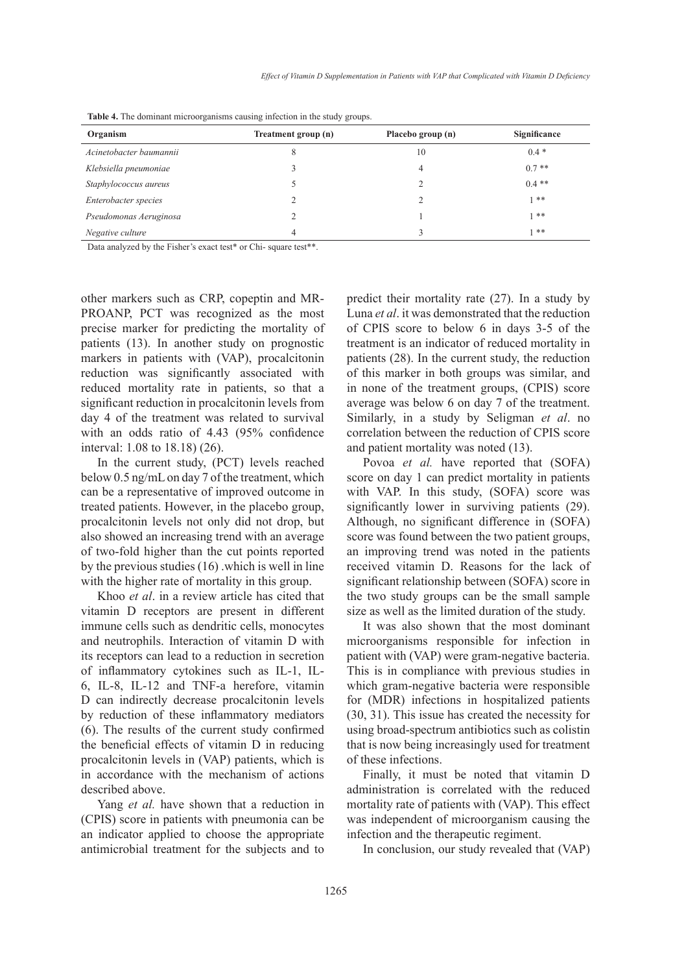| Organism                | Treatment group (n) | Placebo group (n) | Significance |
|-------------------------|---------------------|-------------------|--------------|
| Acinetobacter baumannii |                     | 10                | $0.4*$       |
| Klebsiella pneumoniae   |                     | 4                 | $0.7**$      |
| Staphylococcus aureus   |                     |                   | $0.4**$      |
| Enterobacter species    |                     |                   | $1 * *$      |
| Pseudomonas Aeruginosa  |                     |                   | $1 * *$      |
| Negative culture        |                     |                   | **           |

**Table 4.** The dominant microorganisms causing infection in the study groups.

Data analyzed by the Fisher's exact test\* or Chi- square test\*\*.

other markers such as CRP, copeptin and MR-PROANP, PCT was recognized as the most precise marker for predicting the mortality of patients (13). In another study on prognostic markers in patients with (VAP), procalcitonin reduction was significantly associated with reduced mortality rate in patients, so that a significant reduction in procalcitonin levels from day 4 of the treatment was related to survival with an odds ratio of 4.43 (95% confidence interval: 1.08 to 18.18) (26).

In the current study, (PCT) levels reached below 0.5 ng/mL on day 7 of the treatment, which can be a representative of improved outcome in treated patients. However, in the placebo group, procalcitonin levels not only did not drop, but also showed an increasing trend with an average of two-fold higher than the cut points reported by the previous studies (16) .which is well in line with the higher rate of mortality in this group.

Khoo *et al*. in a review article has cited that vitamin D receptors are present in different immune cells such as dendritic cells, monocytes and neutrophils. Interaction of vitamin D with its receptors can lead to a reduction in secretion of inflammatory cytokines such as IL-1, IL-6, IL-8, IL-12 and TNF-a herefore, vitamin D can indirectly decrease procalcitonin levels by reduction of these inflammatory mediators (6). The results of the current study confirmed the beneficial effects of vitamin D in reducing procalcitonin levels in (VAP) patients, which is in accordance with the mechanism of actions described above.

Yang *et al.* have shown that a reduction in (CPIS) score in patients with pneumonia can be an indicator applied to choose the appropriate antimicrobial treatment for the subjects and to predict their mortality rate (27). In a study by Luna *et al*. it was demonstrated that the reduction of CPIS score to below 6 in days 3-5 of the treatment is an indicator of reduced mortality in patients (28). In the current study, the reduction of this marker in both groups was similar, and in none of the treatment groups, (CPIS) score average was below 6 on day 7 of the treatment. Similarly, in a study by Seligman *et al*. no correlation between the reduction of CPIS score and patient mortality was noted (13).

Povoa *et al.* have reported that (SOFA) score on day 1 can predict mortality in patients with VAP. In this study, (SOFA) score was significantly lower in surviving patients (29). Although, no significant difference in (SOFA) score was found between the two patient groups, an improving trend was noted in the patients received vitamin D. Reasons for the lack of significant relationship between (SOFA) score in the two study groups can be the small sample size as well as the limited duration of the study.

It was also shown that the most dominant microorganisms responsible for infection in patient with (VAP) were gram-negative bacteria. This is in compliance with previous studies in which gram-negative bacteria were responsible for (MDR) infections in hospitalized patients (30, 31). This issue has created the necessity for using broad-spectrum antibiotics such as colistin that is now being increasingly used for treatment of these infections.

Finally, it must be noted that vitamin D administration is correlated with the reduced mortality rate of patients with (VAP). This effect was independent of microorganism causing the infection and the therapeutic regiment.

In conclusion, our study revealed that (VAP)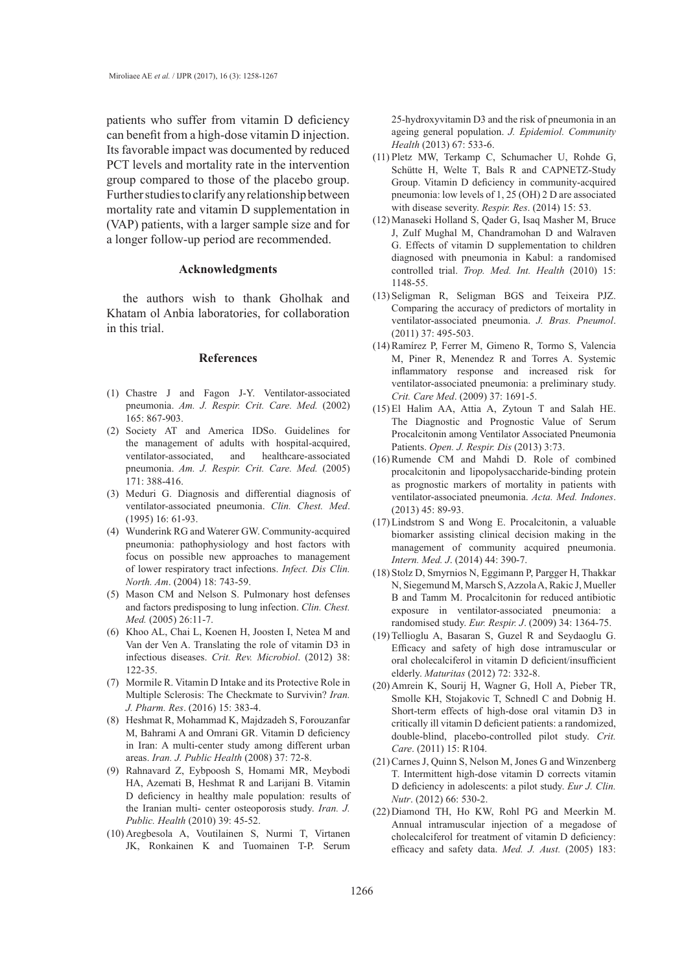patients who suffer from vitamin D deficiency can benefit from a high-dose vitamin D injection. Its favorable impact was documented by reduced PCT levels and mortality rate in the intervention group compared to those of the placebo group. Further studies to clarify any relationship between mortality rate and vitamin D supplementation in (VAP) patients, with a larger sample size and for a longer follow-up period are recommended.

#### **Acknowledgments**

the authors wish to thank Gholhak and Khatam ol Anbia laboratories, for collaboration in this trial.

#### **References**

- Chastre J and Fagon J-Y. Ventilator-associated (1) pneumonia. *Am. J. Respir. Crit. Care. Med.* (2002) 165: 867-903.
- (2) Society AT and America IDSo. Guidelines for the management of adults with hospital-acquired, ventilator-associated, and healthcare-associated pneumonia. *Am. J. Respir. Crit. Care. Med.* (2005) 171: 388-416.
- (3) Meduri G. Diagnosis and differential diagnosis of ventilator-associated pneumonia. *Clin. Chest. Med*. (1995) 16: 61-93.
- Wunderink RG and Waterer GW. Community-acquired (4) pneumonia: pathophysiology and host factors with focus on possible new approaches to management of lower respiratory tract infections. *Infect. Dis Clin. North. Am*. (2004) 18: 743-59.
- (5) Mason CM and Nelson S. Pulmonary host defenses and factors predisposing to lung infection. *Clin. Chest. Med.* (2005) 26:11-7.
- (6) Khoo AL, Chai L, Koenen H, Joosten I, Netea M and Van der Ven A. Translating the role of vitamin D3 in infectious diseases. *Crit. Rev. Microbiol*. (2012) 38: 122-35.
- (7) Mormile R. Vitamin D Intake and its Protective Role in Multiple Sclerosis: The Checkmate to Survivin? *Iran. J. Pharm. Res*. (2016) 15: 383-4.
- (8) Heshmat R, Mohammad K, Majdzadeh S, Forouzanfar M, Bahrami A and Omrani GR. Vitamin D deficiency in Iran: A multi-center study among different urban areas. *Iran. J. Public Health* (2008) 37: 72-8.
- Rahnavard Z, Eybpoosh S, Homami MR, Meybodi (9) HA, Azemati B, Heshmat R and Larijani B. Vitamin D deficiency in healthy male population: results of the Iranian multi- center osteoporosis study. *Iran. J. Public. Health* (2010) 39: 45-52.
- (10) Aregbesola A, Voutilainen S, Nurmi T, Virtanen JK, Ronkainen K and Tuomainen T-P. Serum

25-hydroxyvitamin D3 and the risk of pneumonia in an ageing general population. *J. Epidemiol. Community Health* (2013) 67: 533-6.

- $(11)$  Pletz MW, Terkamp C, Schumacher U, Rohde G, Schütte H, Welte T, Bals R and CAPNETZ-Study Group. Vitamin D deficiency in community-acquired pneumonia: low levels of 1, 25 (OH) 2 D are associated with disease severity. *Respir. Res*. (2014) 15: 53.
- Manaseki Holland S, Qader G, Isaq Masher M, Bruce (12) J, Zulf Mughal M, Chandramohan D and Walraven G. Effects of vitamin D supplementation to children diagnosed with pneumonia in Kabul: a randomised controlled trial. *Trop. Med. Int. Health* (2010) 15: 1148-55.
- $(13)$  Seligman R, Seligman BGS and Teixeira PJZ. Comparing the accuracy of predictors of mortality in ventilator-associated pneumonia. *J. Bras. Pneumol*. (2011) 37: 495-503.
- (14) Ramírez P, Ferrer M, Gimeno R, Tormo S, Valencia M, Piner R, Menendez R and Torres A. Systemic inflammatory response and increased risk for ventilator-associated pneumonia: a preliminary study. *Crit. Care Med*. (2009) 37: 1691-5.
- $(15)$  El Halim AA, Attia A, Zytoun T and Salah HE. The Diagnostic and Prognostic Value of Serum Procalcitonin among Ventilator Associated Pneumonia Patients. *Open. J. Respir. Dis* (2013) 3:73.
- $(16)$  Rumende CM and Mahdi D. Role of combined procalcitonin and lipopolysaccharide-binding protein as prognostic markers of mortality in patients with ventilator-associated pneumonia. *Acta. Med. Indones*. (2013) 45: 89-93.
- $(17)$  Lindstrom S and Wong E. Procalcitonin, a valuable biomarker assisting clinical decision making in the management of community acquired pneumonia. *Intern. Med. J*. (2014) 44: 390-7.
- (18) Stolz D, Smyrnios N, Eggimann P, Pargger H, Thakkar N, Siegemund M, Marsch S, Azzola A, Rakic J, Mueller B and Tamm M. Procalcitonin for reduced antibiotic exposure in ventilator-associated pneumonia: a randomised study. *Eur. Respir. J*. (2009) 34: 1364-75.
- $(19)$  Tellioglu A, Basaran S, Guzel R and Seydaoglu G. Efficacy and safety of high dose intramuscular or oral cholecalciferol in vitamin D deficient/insufficient elderly. *Maturitas* (2012) 72: 332-8.
- (20) Amrein K, Sourij H, Wagner G, Holl A, Pieber TR, Smolle KH, Stojakovic T, Schnedl C and Dobnig H. Short-term effects of high-dose oral vitamin D3 in critically ill vitamin D deficient patients: a randomized, double-blind, placebo-controlled pilot study. *Crit. Care*. (2011) 15: R104.
- (21) Carnes J, Quinn S, Nelson M, Jones G and Winzenberg T. Intermittent high-dose vitamin D corrects vitamin D deficiency in adolescents: a pilot study. *Eur J. Clin. Nutr*. (2012) 66: 530-2.
- $(22)$  Diamond TH, Ho KW, Rohl PG and Meerkin M. Annual intramuscular injection of a megadose of cholecalciferol for treatment of vitamin D deficiency: efficacy and safety data. *Med. J. Aust.* (2005) 183: